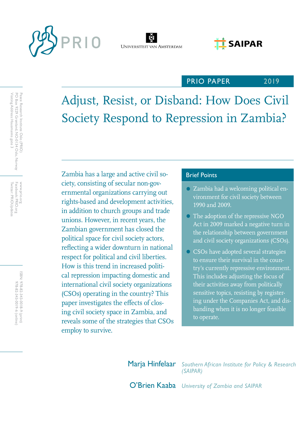



# **E** SAIPAR

## PRIO PAPER

2019

Adjust, Resist, or Disband: How Does Civil Society Respond to Repression in Zambia?

Zambia has a large and active civil so-<br>Brief Points ciety, consisting of secular non-governmental organizations carrying out rights-based and development activities, in addition to church groups and trade unions. However, in recent years, the Zambian government has closed the political space for civil society actors, reflecting a wider downturn in national respect for political and civil liberties. How is this trend in increased political repression impacting domestic and international civil society organizations (CSOs) operating in the country? This paper investigates the effects of closing civil society space in Zambia, and reveals some of the strategies that CSOs employ to survive.

- Zambia had a welcoming political environment for civil society between 1990 and 2009.
- The adoption of the repressive NGO Act in 2009 marked a negative turn in the relationship between government and civil society organizations (CSOs).
- CSOs have adopted several strategies to ensure their survival in the country's currently repressive environment. This includes adjusting the focus of their activities away from politically sensitive topics, resisting by registering under the Companies Act, and disbanding when it is no longer feasible to operate.

Marja Hinfelaar *Southern African Institute for Policy & Research (SAIPAR)*

O'Brien Kaaba *University of Zambia and SAIPAR*

Twitter: PRIOUpdates Facebook: PRIO.org Twitter: PRIOUpdates Facebook: PRIO.org www.prio.org www.prio.org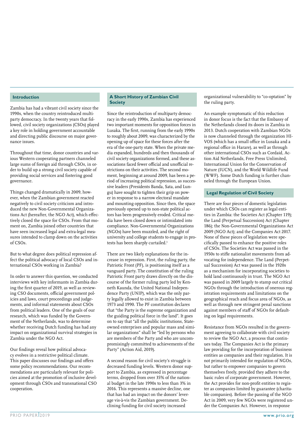#### **Introduction**

Zambia has had a vibrant civil society since the 1990s, when the country reintroduced multiparty democracy. In the twenty years that followed, civil society organizations (CSOs) played a key role in holding government accountable and directing public discourse on major governance issues.

Throughout that time, donor countries and various Western cooperating partners channeled large sums of foreign aid through CSOs, in order to build up a strong civil society capable of providing social services and fostering good governance.

Things changed dramatically in 2009, however, when the Zambian government reacted negatively to civil society criticism and introduced the new Non-Governmental Organizations Act (hereafter, the NGO Act), which effectively closed the space for CSOs. From that moment on, Zambia joined other countries that have seen increased legal and extra-legal measures intended to clamp down on the activities of CSOs.

But to what degree does political repression affect the political advocacy of local CSOs and international CSOs working in Zambia?

In order to answer this question, we conducted interviews with key informants in Zambia during the first quarter of 2019, as well as reviewing CSO documents, official government policies and laws, court proceedings and judgements, and informal statements about CSOs from political leaders. One of the goals of our research, which was funded by the Government of the Netherlands, was to determine whether receiving Dutch funding has had any impact on organizational survival strategies in Zambia under the NGO Act.

Our findings reveal how political advocacy evolves in a restrictive political climate. This paper discusses our findings and offers some policy recommendations. Our recommendations are particularly relevant for policies aimed at the promotion of inclusive development through CSOs and transnational CSO cooperation.

#### **A Short History of Zambian Civil Society**

Since the reintroduction of multiparty democracy in the early 1990s, Zambia has experienced two important moments for opposition forces in Lusaka. The first, running from the early 1990s to roughly about 2009, was characterized by the opening up of space for these forces after the era of the one-party state. When the private media expanded, hundreds and then thousands of civil society organizations formed, and these associations faced fewer official and unofficial restrictions on their activities. The second moment, beginning at around 2009, has been a period of increasing political repression, as successive leaders (Presidents Banda, Sata, and Lungu) have sought to tighten their grip on power in response to a narrow electoral mandate and mounting opposition. Since then, the space previously opened up to non-state political actors has been progressively eroded. Critical media have been closed down or intimidated into compliance. Non-Governmental Organizations (NGOs) have been muzzled, and the right of university and college students to engage in protests has been sharply curtailed.<sup>1</sup>

There are two likely explanations for the increase in repression. First, the ruling party, the Patriotic Front (PF), is positioning itself as a vanguard party. The constitution of the ruling Patriotic Front party draws directly on the discourse of the former ruling party led by Kenneth Kaunda, the United National Independence Party (UNIP), which was the only party legally allowed to exist in Zambia between 1973 and 1990. The PF constitution declares that "the Party is the supreme organization and the guiding political force in the land". It goes on to say that "all the public institutions, Stateowned enterprises and popular mass and similar organizations" shall be "led by persons who are members of the Party and who are uncompromisingly committed to achievements of the Party" (Action Aid, 2019).

A second reason for civil society's struggle is decreased funding levels. Western donor support to Zambia, as expressed in percentage terms, dropped from over 35% of the national budget in the late 1990s to less than 3% in 2016. This represents a massive decline, one that has had an impact on the donors' leverage vis-à-vis the Zambian government. Declining funding for civil society increased

organizational vulnerability to "co-optation" by the ruling party.

An example symptomatic of this reduction in donor focus is the fact that the Embassy of the Netherlands closed its doors in Zambia in 2013. Dutch cooperation with Zambian NGOs is now channeled through the organization HI-VOS (which has a small office in Lusaka and a regional office in Harare), as well as through other international CSOs such as Cordaid, Action Aid Netherlands, Free Press Unlimited, International Union for the Conservation of Nature (IUCN), and the World Wildlife Fund (WWF). Some Dutch funding is further channeled through the European Union.

#### **Legal Regulation of Civil Society**

There are four pieces of domestic legislation under which CSOs can register as legal entities in Zambia: the Societies Act (Chapter 119); the Land (Perpetual Succession) Act (Chapter 186); the Non-Governmental Organizations Act 2009 (NGO Act); and the Companies Act 2017. None of these pieces of legislation were specifically passed to enhance the positive roles of CSOs. The Societies Act was passed in the 1950s to stifle nationalist movements from advocating for independence. The Land (Perpetual Succession) Act was passed in the 1920s as a mechanism for incorporating societies to hold land continuously in trust. The NGO Act was passed in 2009 largely to stamp out critical NGOs through the introduction of onerous registration requirements and limitations on the geographical reach and focus area of NGOs, as well as through new stringent penal sanctions against members of staff of NGOs for defaulting on legal requirements.

Resistance from NGOs resulted in the government agreeing to collaborate with civil society to review the NGO Act, a process that continues today. The Companies Act is the primary law providing for the incorporation of business entities as companies and their regulation. It is not primarily intended for regulation of NGOs, but rather to empower companies to govern themselves freely, provided they adhere to the basic rules of corporate government. However, the Act provides for non-profit entities to register as companies limited by guarantee (charitable companies). Before the passing of the NGO Act in 2009, very few NGOs were registered under the Companies Act. However, in response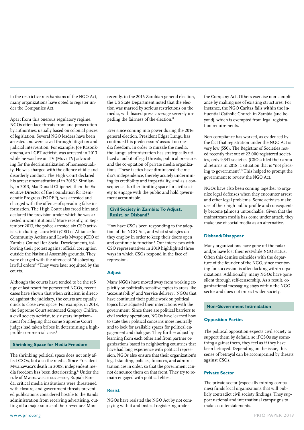to the restrictive mechanisms of the NGO Act, many organizations have opted to register under the Companies Act.

Apart from this onerous regulatory regime, NGOs often face threats from and prosecution by authorities, usually based on colonial pieces of legislation. Several NGO leaders have been arrested and were saved through litigation and judicial intervention. For example, Joe Kasonkomona, an LGBT activist, was arrested in 2013 while he was live on TV (Muvi TV) advocating for the decriminalization of homosexuality. He was charged with the offence of idle and disorderly conduct. The High Court declared his arrest unconstitutional in 2015.<sup>2</sup> Similarly, in 2013, MacDonald Chipenzi, then the Executive Director of the Foundation for Democratic Progress (FODEP), was arrested and charged with the offence of spreading false information. The High Court also freed him and declared the provision under which he was arrested unconstitutional.3 More recently, in September 2017, the police arrested six CSO activists, including Laura Miti (CEO of Alliance for Community Action) and Lewis Mwape (CEO of Zambia Council for Social Development), following their protest against official corruption outside the National Assembly grounds. They were charged with the offence of "disobeying lawful orders".<sup>4</sup>They were later acquitted by the courts.

Although the courts have tended to be the refuge of last resort for persecuted NGOs, recent cases have shown that when criticism is directed against the judiciary, the courts are equally quick to close civic space. For example, in 2018, the Supreme Court sentenced Gregory Chifire, a civil society activist, to six years imprisonment for alleging that some Supreme Court judges had taken bribes in determining a highprofile commercial case.<sup>5</sup>

#### **Shrinking Space for Media Freedom**

The shrinking political space does not only affect CSOs, but also the media. Since President Mwanawasa's death in 2008, independent media freedom has been deteriorating.6 Under the rule of Mwanawasa's successor, Rupiah Banda, critical media institutions were threatened with closure, and government threats prevented publications considered hostile to the Banda administration from receiving advertising, cutting off a major source of their revenue.<sup>7</sup> More

recently, in the 2016 Zambian general election, the US State Department noted that the election was marred by serious restrictions on the media, with biased press coverage severely impeding the fairness of the election.8

Ever since coming into power during the 2016 general election, President Edgar Lungu has continued his predecessors' assault on media freedom. In order to muzzle the media, the Lungu administration has strategically utilized a toolkit of legal threats, political pressure, and the co-optation of private media organizations. These tactics have diminished the media's independence, thereby acutely undermining its credibility and impartiality, and as a consequence, further limiting space for civil society to engage with the public and hold government accountable.

#### **Civil Society in Zambia: To Adjust, Resist, or Disband?**

How have CSOs been responding to the adoption of the NGO Act, and what strategies do they employ in order to keep their doors open and continue to function? Our interviews with CSO representatives in 2019 highlighted three ways in which CSOs respond in the face of repression.

#### **Adjust**

Many NGOs have moved away from working explicitly on politically sensitive topics to areas like 'accountability' and 'service delivery'. NGOs that have continued their public work on political topics have adjusted their interactions with the government. Since there are political barriers to civil society operations, NGOs have learned how to state their political concerns more neutrally and to look for available spaces for political engagement and dialogue. They further adjust by learning from each other and from partner organizations based in neighboring countries that have had long experience with political repression. NGOs also ensure that their organization's legal standing, policies, finances, and administration are in order, so that the government cannot denounce them on that front. They try to remain engaged with political elites.

#### **Resist**

NGOs have resisted the NGO Act by not complying with it and instead registering under

the Company Act. Others exercise non-compliance by making use of existing structures. For instance, the NGO Caritas falls within the influential Catholic Church in Zambia (and beyond), which is exempted from legal registration requirements.

Non-compliance has worked, as evidenced by the fact that registration under the NGO Act is very low (550). The Registrar of Societies noted recently that out of 22,000 registered societies, only 9,341 societies (CSOs) filed their annual returns in 2018, a situation that is "not pleasing to government".9 This helped to prompt the government to review the NGO Act.

NGOs have also been coming together to organize legal defenses when they encounter arrest and other legal problems. Some activists make use of their high public profile and consequently become (almost) untouchable. Given that the mainstream media has come under attack, they make use of social media as an alternative.

#### **Disband/Disappear**

Many organizations have gone off the radar and/or have lost their erstwhile NGO status. Often this demise coincides with the departure of the founder of the NGO, since mentoring for succession is often lacking within organizations. Additionally, many NGOs have gone silent through self-censorship. As a result, organizational messaging stays within the NGO sector and does not impact wider society.

#### **Non-Government Intimidation**

#### **Opposition Parties**

The political opposition expects civil society to support them by default, so if CSOs say something against them, they feel as if they have been betrayed. Depending on the issue, this sense of betrayal can be accompanied by threats against CSOs.

#### **Private Sector**

The private sector (especially mining companies) funds local organizations that will publicly contradict civil society findings. They support national and international campaigns to make counterstatements.